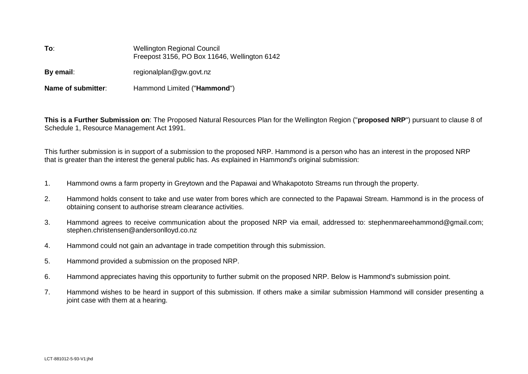| To:                | <b>Wellington Regional Council</b><br>Freepost 3156, PO Box 11646, Wellington 6142 |
|--------------------|------------------------------------------------------------------------------------|
| By email:          | regionalplan@gw.govt.nz                                                            |
| Name of submitter: | Hammond Limited ("Hammond")                                                        |

**This is a Further Submission on**: The Proposed Natural Resources Plan for the Wellington Region ("**proposed NRP**") pursuant to clause 8 of Schedule 1, Resource Management Act 1991.

This further submission is in support of a submission to the proposed NRP. Hammond is a person who has an interest in the proposed NRP that is greater than the interest the general public has. As explained in Hammond's original submission:

- 1. Hammond owns a farm property in Greytown and the Papawai and Whakapototo Streams run through the property.
- 2. Hammond holds consent to take and use water from bores which are connected to the Papawai Stream. Hammond is in the process of obtaining consent to authorise stream clearance activities.
- 3. Hammond agrees to receive communication about the proposed NRP via email, addressed to: stephenmareehammond@gmail.com; stephen.christensen@andersonlloyd.co.nz
- 4. Hammond could not gain an advantage in trade competition through this submission.
- 5. Hammond provided a submission on the proposed NRP.
- 6. Hammond appreciates having this opportunity to further submit on the proposed NRP. Below is Hammond's submission point.
- 7. Hammond wishes to be heard in support of this submission. If others make a similar submission Hammond will consider presenting a joint case with them at a hearing.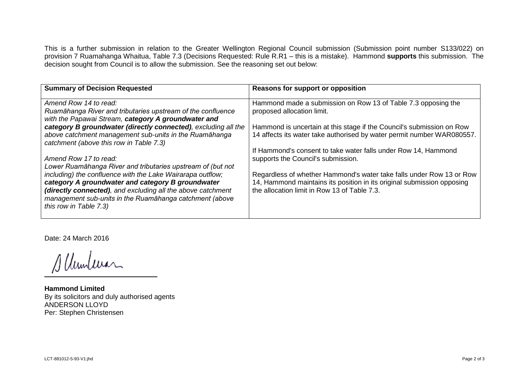This is a further submission in relation to the Greater Wellington Regional Council submission (Submission point number S133/022) on provision 7 Ruamahanga Whaitua, Table 7.3 (Decisions Requested: Rule R.R1 – this is a mistake). Hammond **supports** this submission. The decision sought from Council is to allow the submission. See the reasoning set out below:

| Reasons for support or opposition                                                                                                                                                              |
|------------------------------------------------------------------------------------------------------------------------------------------------------------------------------------------------|
| Hammond made a submission on Row 13 of Table 7.3 opposing the<br>proposed allocation limit.                                                                                                    |
| Hammond is uncertain at this stage if the Council's submission on Row<br>14 affects its water take authorised by water permit number WAR080557.                                                |
| If Hammond's consent to take water falls under Row 14, Hammond<br>supports the Council's submission.                                                                                           |
| Regardless of whether Hammond's water take falls under Row 13 or Row<br>14, Hammond maintains its position in its original submission opposing<br>the allocation limit in Row 13 of Table 7.3. |
|                                                                                                                                                                                                |

Date: 24 March 2016

Slumler

**Hammond Limited**  By its solicitors and duly authorised agents ANDERSON LLOYD Per: Stephen Christensen